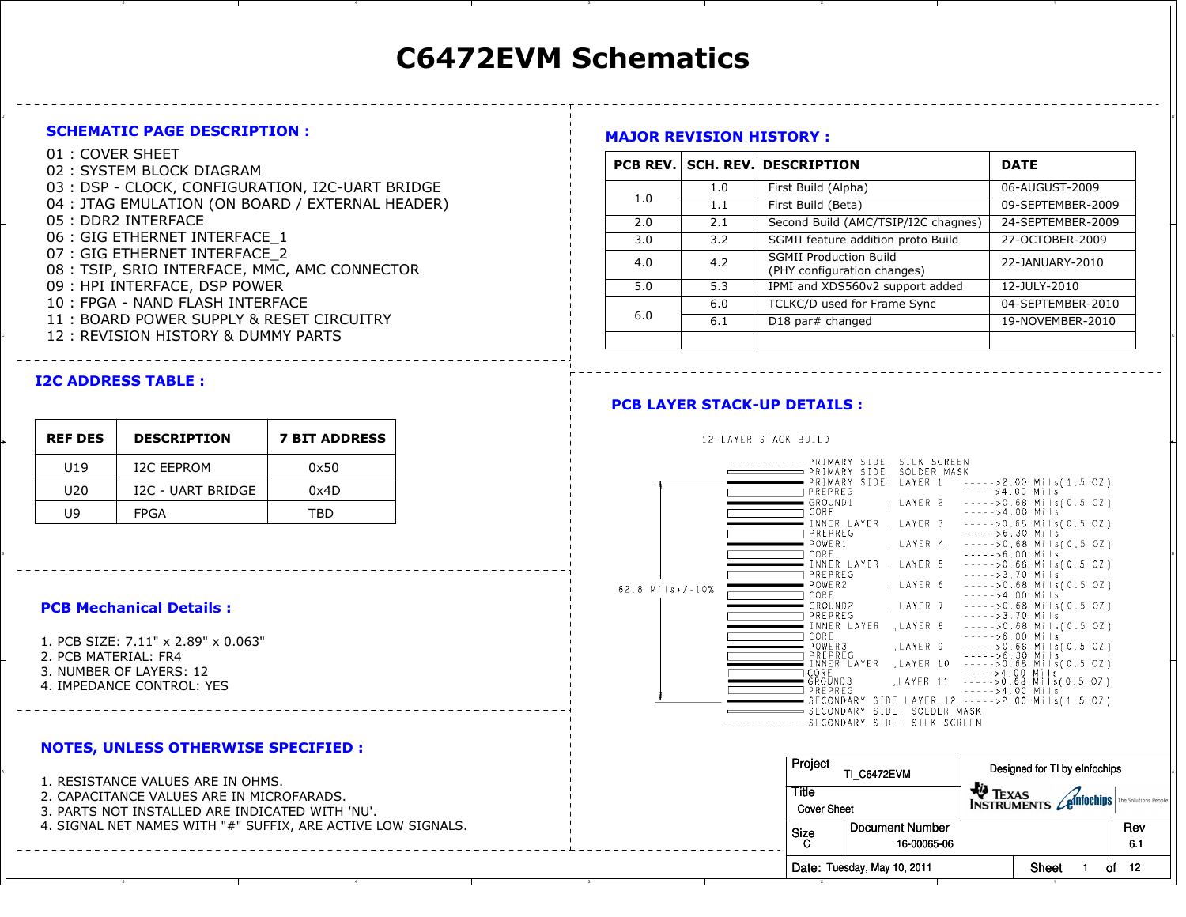# C6472EVM Schematics

on and the contract of the contract of the contract of the contract of the contract of the contract of the contract of the contract of the contract of the contract of the contract of the contract of the contract of the con

#### SCHEMATIC PAGE DESCRIPTION :

- 01 : COVER SHEET
- 02 : SYSTEM BLOCK DIAGRAM
- 03 : DSP CLOCK, CONFIGURATION, I2C-UART BRIDGE
- 04 : JTAG EMULATION (ON BOARD / EXTERNAL HEADER)
- 05 : DDR2 INTERFACE
- 06 : GIG ETHERNET INTERFACE\_1
- 07 : GIG ETHERNET INTERFACE\_2
- 08 : TSIP, SRIO INTERFACE, MMC, AMC CONNECTOR
- 09 : HPI INTERFACE, DSP POWER
- 10 : FPGA NAND FLASH INTERFACE
- 11 : BOARD POWER SUPPLY & RESET CIRCUITRY
- 

## I2C ADDRESS TABLE :

| <b>REF DES</b>  | <b>DESCRIPTION</b> | <b>7 BIT ADDRESS</b> |
|-----------------|--------------------|----------------------|
| U <sub>19</sub> | <b>I2C EEPROM</b>  | 0x50                 |
| U20             | I2C - UART BRIDGE  | 0x4D                 |
| IJ9             | <b>FPGA</b>        | TBD                  |

#### PCB Mechanical Details :

1. PCB SIZE: 7.11" x 2.89" x 0.063"2. PCB MATERIAL: FR4 3. NUMBER OF LAYERS: 124. IMPEDANCE CONTROL: YES

#### NOTES, UNLESS OTHERWISE SPECIFIED :

- 2. CAPACITANCE VALUES ARE IN MICROFARADS.
- 3. PARTS NOT INSTALLED ARE INDICATED WITH 'NU'.
- 4. SIGNAL NET NAMES WITH "#" SUFFIX, ARE ACTIVE LOW SIGNALS.

## MAJOR REVISION HISTORY :

| UI . LUVER SHEET<br>02: SYSTEM BLOCK DIAGRAM                                   |     |     | <b>PCB REV. SCH. REV. DESCRIPTION</b>                        | <b>DATE</b>       |
|--------------------------------------------------------------------------------|-----|-----|--------------------------------------------------------------|-------------------|
| 03 : DSP - CLOCK, CONFIGURATION, I2C-UART BRIDGE                               |     | 1.0 | First Build (Alpha)                                          | 06-AUGUST-2009    |
| 04 : JTAG EMULATION (ON BOARD / EXTERNAL HEADER)                               | 1.0 | 1.1 | First Build (Beta)                                           | 09-SEPTEMBER-2009 |
| 05 : DDR2 INTERFACE                                                            | 2.0 | 2.1 | Second Build (AMC/TSIP/I2C chagnes)                          | 24-SEPTEMBER-2009 |
| 06 : GIG ETHERNET INTERFACE 1                                                  | 3.0 | 3.2 | SGMII feature addition proto Build                           | 27-OCTOBER-2009   |
| 07 : GIG ETHERNET INTERFACE 2<br>08 : TSIP, SRIO INTERFACE, MMC, AMC CONNECTOR | 4.0 | 4.2 | <b>SGMII Production Build</b><br>(PHY configuration changes) | 22-JANUARY-2010   |
| 09 : HPI INTERFACE, DSP POWER                                                  | 5.0 | 5.3 | IPMI and XDS560v2 support added                              | 12-JULY-2010      |
| 10 : FPGA - NAND FLASH INTERFACE                                               |     | 6.0 | TCLKC/D used for Frame Sync                                  | 04-SEPTEMBER-2010 |
| 11: BOARD POWER SUPPLY & RESET CIRCUITRY                                       | 6.0 | 6.1 | D18 par# changed                                             | 19-NOVEMBER-2010  |
| 12 : REVISION HISTORY & DUMMY PARTS                                            |     |     |                                                              |                   |

## PCB LAYER STACK-UP DETAILS :

#### 12-LAYER STACK BUILD ---- PRIMARY SIDE, SILK SCREEN PRIMARY SIDE, SOLDER MASK PRIMARY SIDE, LAYER 1 ----->2.00 Mils(1.5 OZ) PREPREG  $---24.00$  Mils  $=$  GROUND 1 , LAYER 2 ----->0.68 Mils(0.5 OZ) CORE  $---24.00$  Mils  $---20.68$  Mils(0.5 OZ) INNER LAYER, LAYER 3  $---56.30$  Mils PREPREG POWER1 LAYER 4  $---20.68$  Mils(0.5 OZ) <sup>B</sup>  $---20.68$  Mils(0.5 OZ) PREPREG  $---23.70$  Mils LAYER 6 POWER2  $---20.68$  Mils(0.5 OZ) 62.8  $Mi + 5 + 10\%$ CORE  $---24.00$  Mils  $---20.68$  Mils(0.5 OZ) GROUND<sub>2</sub> LAYER 7 PREPREG  $---23.70$  Mils INNER LAYER , LAYER 8  $---20.68$  Mils(0.5 OZ)  $----&>6.00$  Mils T CORE  $=$  POWER3 , LAYER 9  $---20.68$  Mils(0.5 OZ) PREPREG<br>INNER LAYER , LAYER 10  $----56.30$  Mils<br> $---50.68$  Mils(0.5 OZ)  $---24.00$  Mils CORE GRÖUND3 ,LAYER 11  $---50.68$  Mils(0.5 OZ) □ PREPREG  $---24.00$  Mils SECONDARY SIDE, LAYER 12 ----->2.00 Mils(1.5 OZ) SECONDARY SIDE, SOLDER MASK ------ SECONDARY SIDE, SILK SCREEN

|                                                                                                                                  | Project                     | TI C6472EVM                      | Designed for TI by eInfochips              |            |
|----------------------------------------------------------------------------------------------------------------------------------|-----------------------------|----------------------------------|--------------------------------------------|------------|
| . RESISTANCE VALUES ARE IN OHMS.<br>2. CAPACITANCE VALUES ARE IN MICROFARADS.<br>3. PARTS NOT INSTALLED ARE INDICATED WITH 'NU'. | Title<br><b>Cover Sheet</b> |                                  | TO TEXAS<br>INSTRUMENTS <b>Contraction</b> |            |
| 4. SIGNAL NET NAMES WITH "#" SUFFIX, ARE ACTIVE LOW SIGNALS.                                                                     | Size                        | l Document Number<br>16-00065-06 |                                            | Rev<br>6.1 |
|                                                                                                                                  |                             | Date: Tuesday, May 10, 2011      | Shee                                       | -12<br>of  |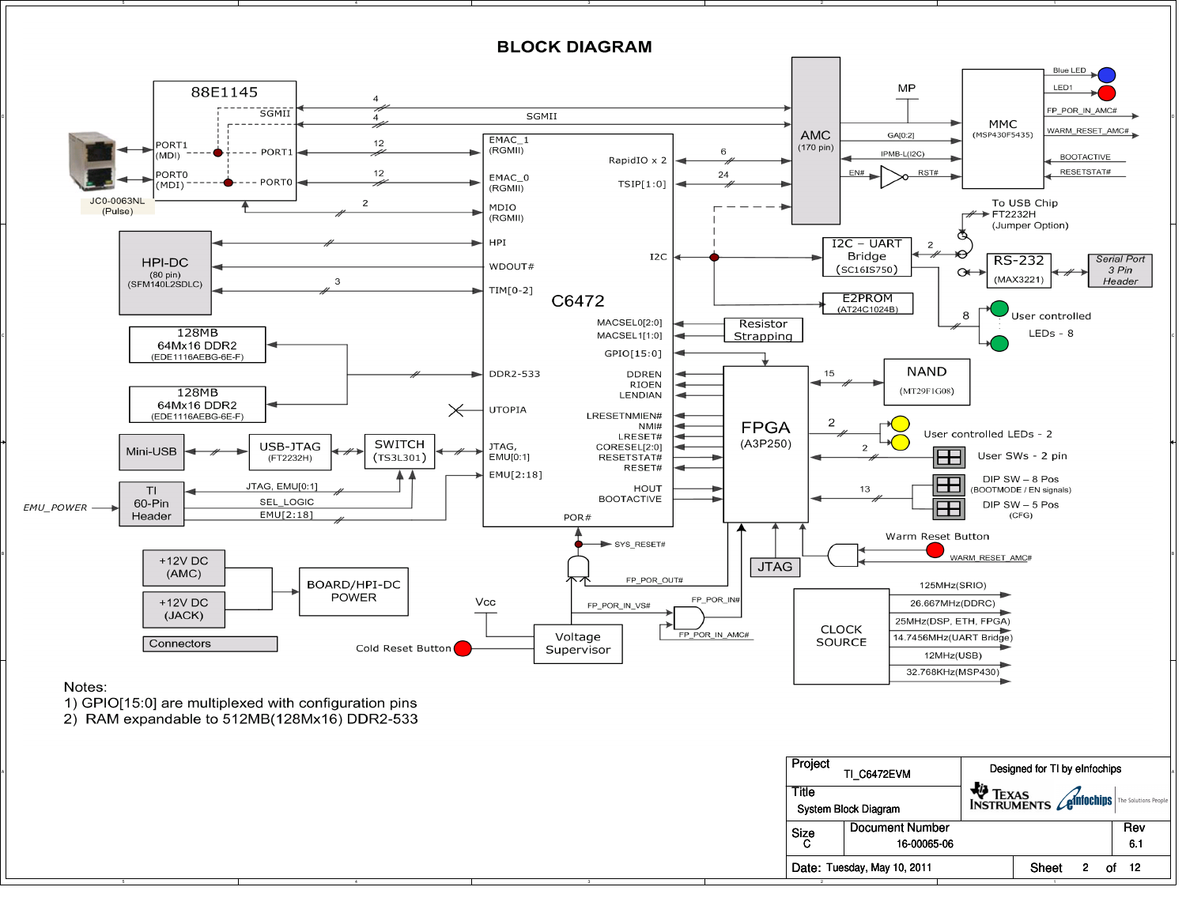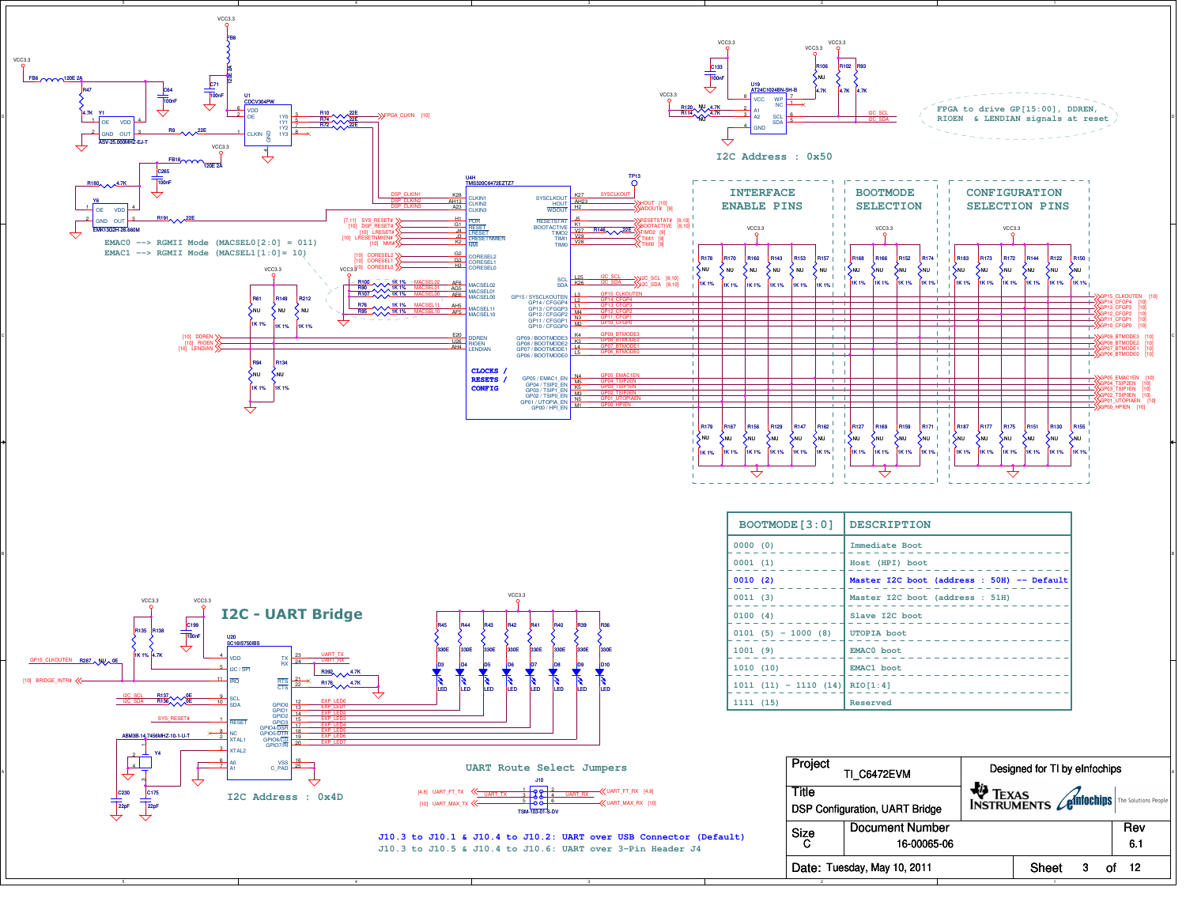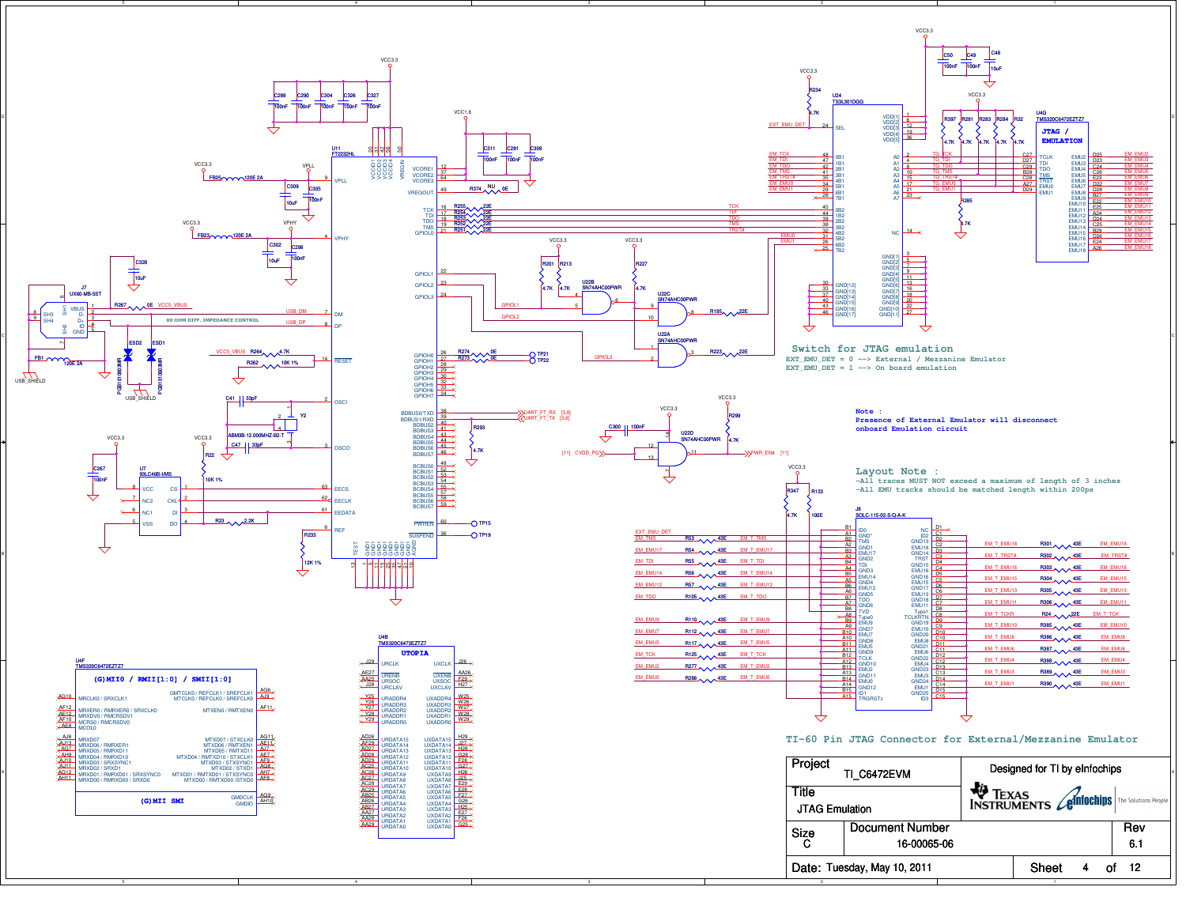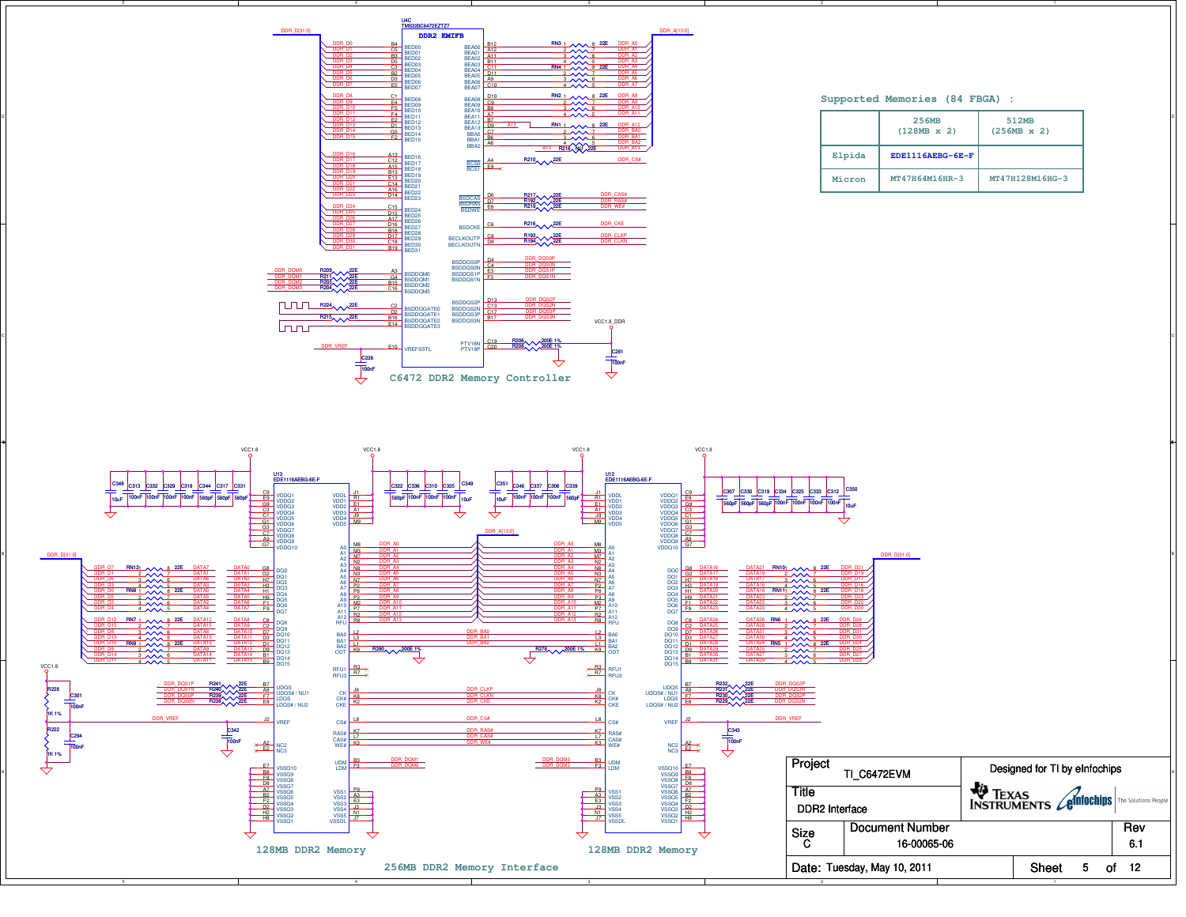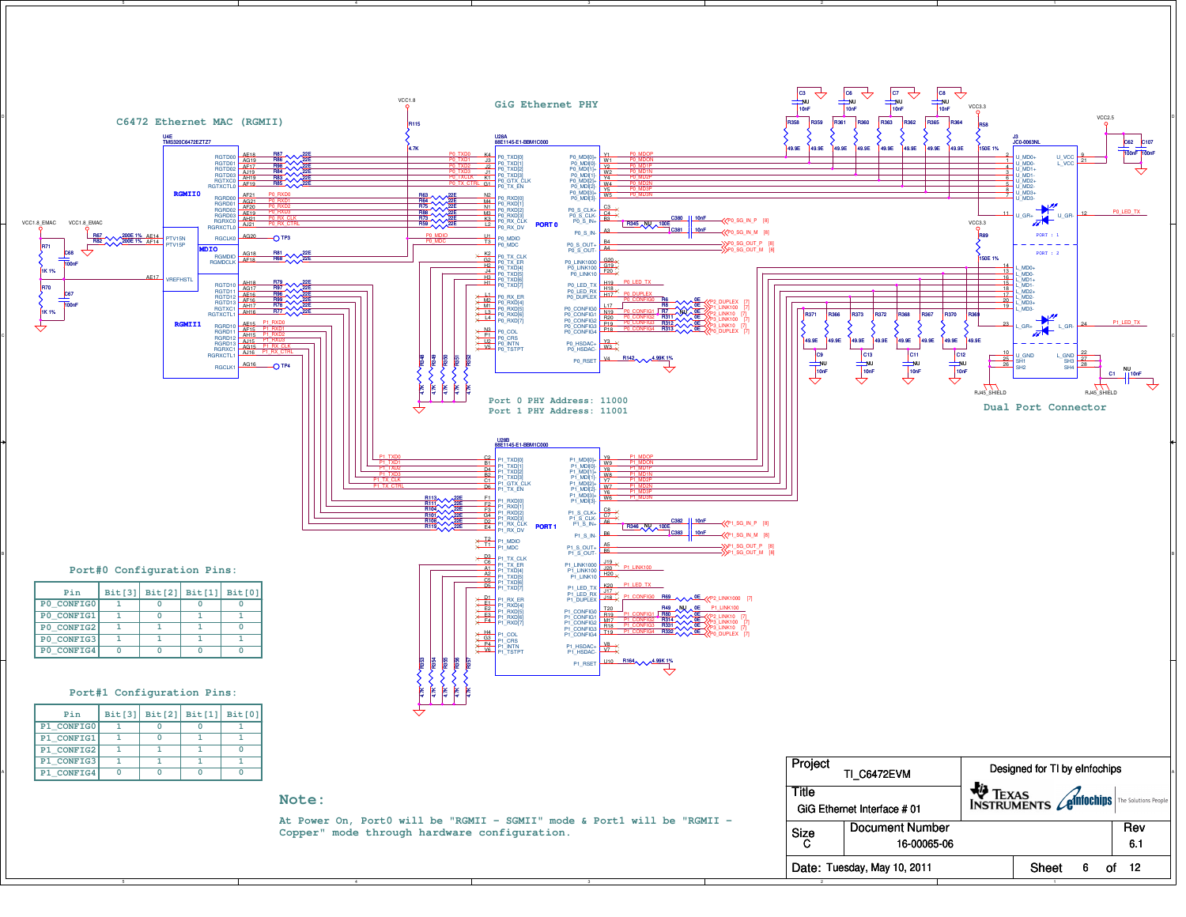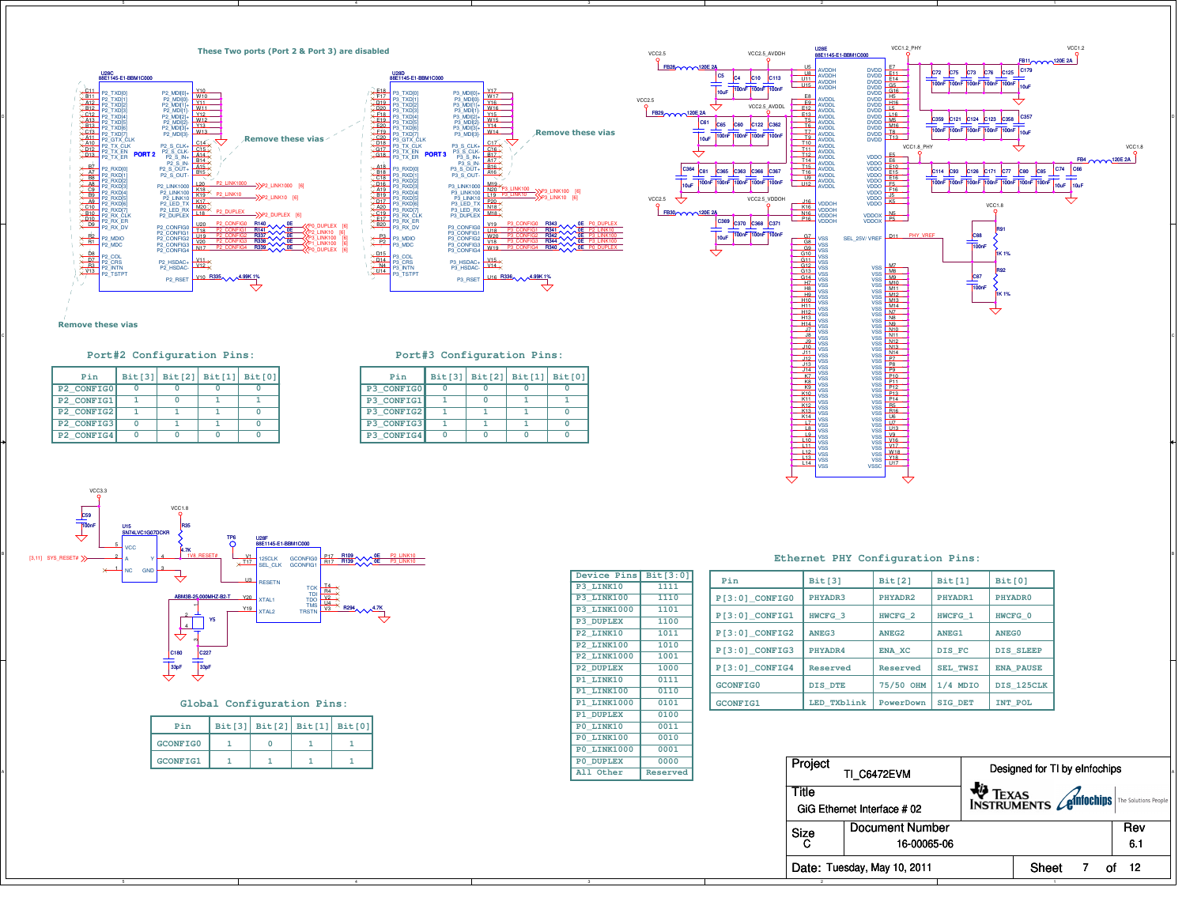



#### **Port#2 Configuration Pins:**

| Pin        |  | Bit[3] Bit[2] Bit[1] Bit[0] |  |
|------------|--|-----------------------------|--|
| P2 CONFIG0 |  |                             |  |
| P2 CONFIG1 |  |                             |  |
| P2 CONFIG2 |  |                             |  |
| P2 CONFIG3 |  |                             |  |
| P2 CONFIG4 |  |                             |  |

#### **Port#3 Configuration Pins:**

| Pin        | Bit[3]   Bit[2]   Bit[1] | Bit[0] |
|------------|--------------------------|--------|
| P3 CONFIGO |                          |        |
| P3 CONFIG1 |                          |        |
| P3 CONFIG2 |                          |        |
| P3 CONFIG3 |                          |        |
| P3 CONFIG4 |                          |        |



**Global Configuration Pins:**

| Pin             |  | Bit[3] Bit[2] Bit[1] Bit[0] |
|-----------------|--|-----------------------------|
| <b>GCONFIG0</b> |  |                             |
| <b>GCONFIG1</b> |  |                             |

| Device Pins Bit[3:0] |                 |
|----------------------|-----------------|
| P3 LINK10            | 1111            |
| P3 LINK100           | 1110            |
| <b>P3 LINK1000</b>   | 1101            |
| P3 DUPLEX            | 1100            |
| P2 LINK10            | 1011            |
| P2 LINK100           | 1010            |
| <b>P2 LINK1000</b>   | 1001            |
| P2 DUPLEX            | 1000            |
| P1 LINK10            | 0111            |
| P1 LINK100           | 0110            |
| <b>P1 LINK1000</b>   | 0101            |
| P1 DUPLEX            | 0100            |
| PO LINK10            | 0011            |
| PO LINK100           | 0010            |
| PO LINK1000          | 0001            |
| <b>PO DUPLEX</b>     | 0000            |
| All Other            | <b>Reserved</b> |

|  | Ethernet PHY Configuration Pins: |  |
|--|----------------------------------|--|
|  |                                  |  |

| Pin              | <b>Bit[3]</b>      | Bit[2]            | Bit[1]          | <b>Bit[0]</b>       |
|------------------|--------------------|-------------------|-----------------|---------------------|
| $P[3:0]$ CONFIG0 | PHYADR3            | PHYADR2           | PHYADR1         | PHYADR <sub>0</sub> |
| $P[3:0]$ CONFIG1 | HWCFG <sub>3</sub> | <b>HWCFG 2</b>    | <b>HWCFG 1</b>  | HWCFG 0             |
| $P[3:0]$ CONFIG2 | ANEG3              | ANEG <sub>2</sub> | <b>ANEG1</b>    | <b>ANEGO</b>        |
| $P[3:0]$ CONFIG3 | PHYADR4            | <b>ENA XC</b>     | DIS FC          | <b>DIS SLEEP</b>    |
| $P[3:0]$ CONFIG4 | Reserved           | Reserved          | <b>SEL TWSI</b> | <b>ENA PAUSE</b>    |
| <b>GCONFIGO</b>  | DIS DTE            | 75/50 OHM         | $1/4$ MDIO      | DIS 125CLK          |
| <b>GCONFIG1</b>  | LED TXblink        | PowerDown         | <b>SIG DET</b>  | INT POL             |

| <b>GCONFIG1</b> |  |  |  | PO DUPLEX<br>All Other | 0000<br>Reserved | Project | TI C6472EVM                    | Designed for TI by eInfochips    |           |
|-----------------|--|--|--|------------------------|------------------|---------|--------------------------------|----------------------------------|-----------|
|                 |  |  |  |                        |                  | Title   | GiG Ethernet Interface # 02    | TEXAS<br>INSTRUMENTS Ganifochips |           |
|                 |  |  |  |                        |                  | Size    | Document Number<br>16-00065-06 |                                  | Rev<br>61 |
|                 |  |  |  |                        |                  |         | Date: Tuesday, May 10, 2011    | Sheet                            | of 12     |

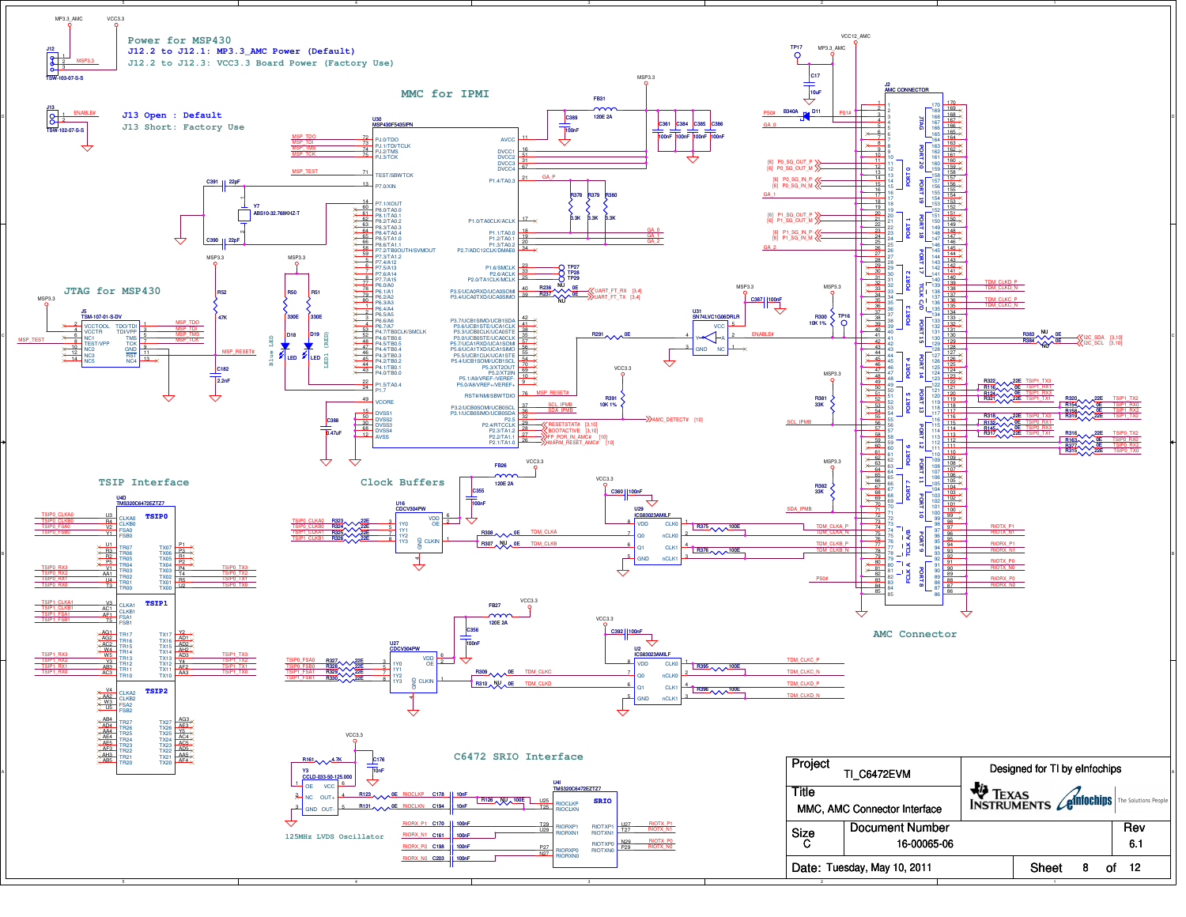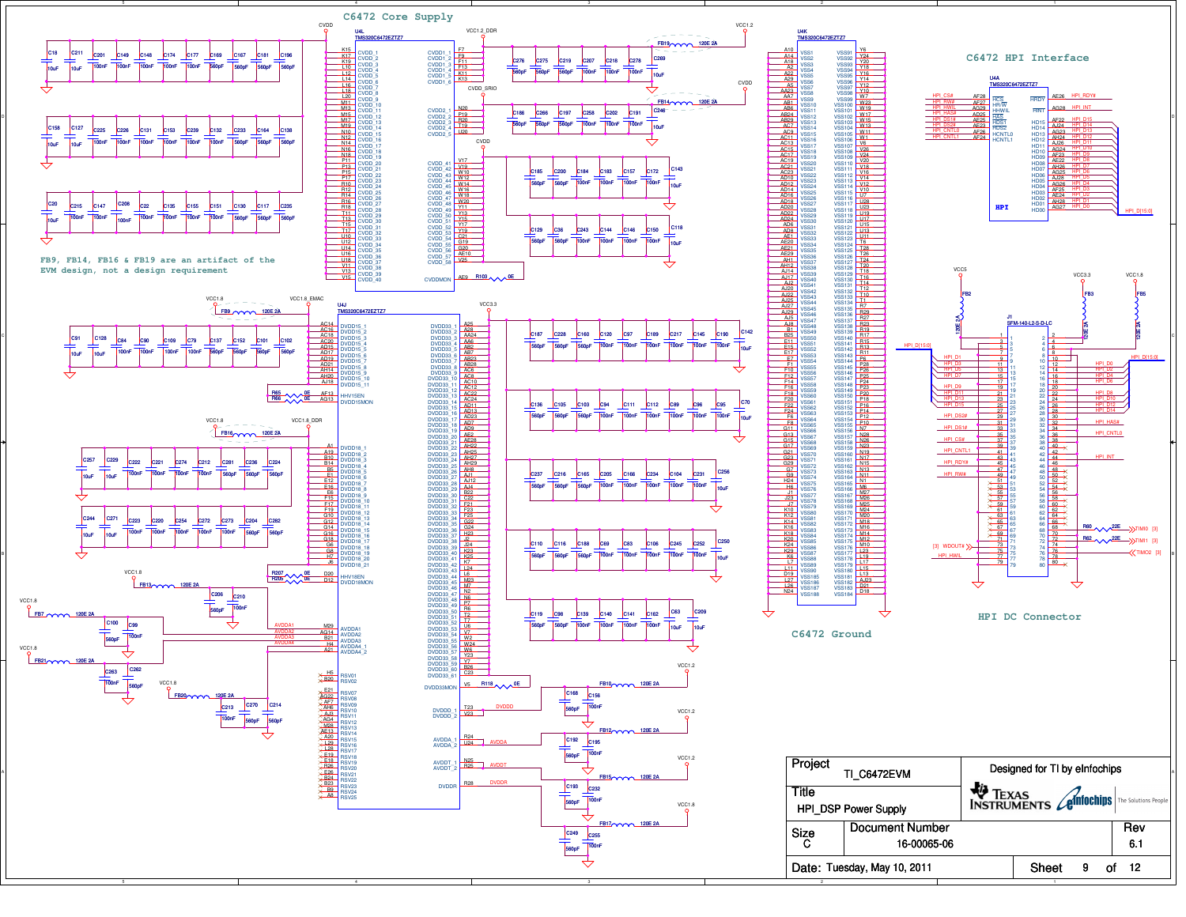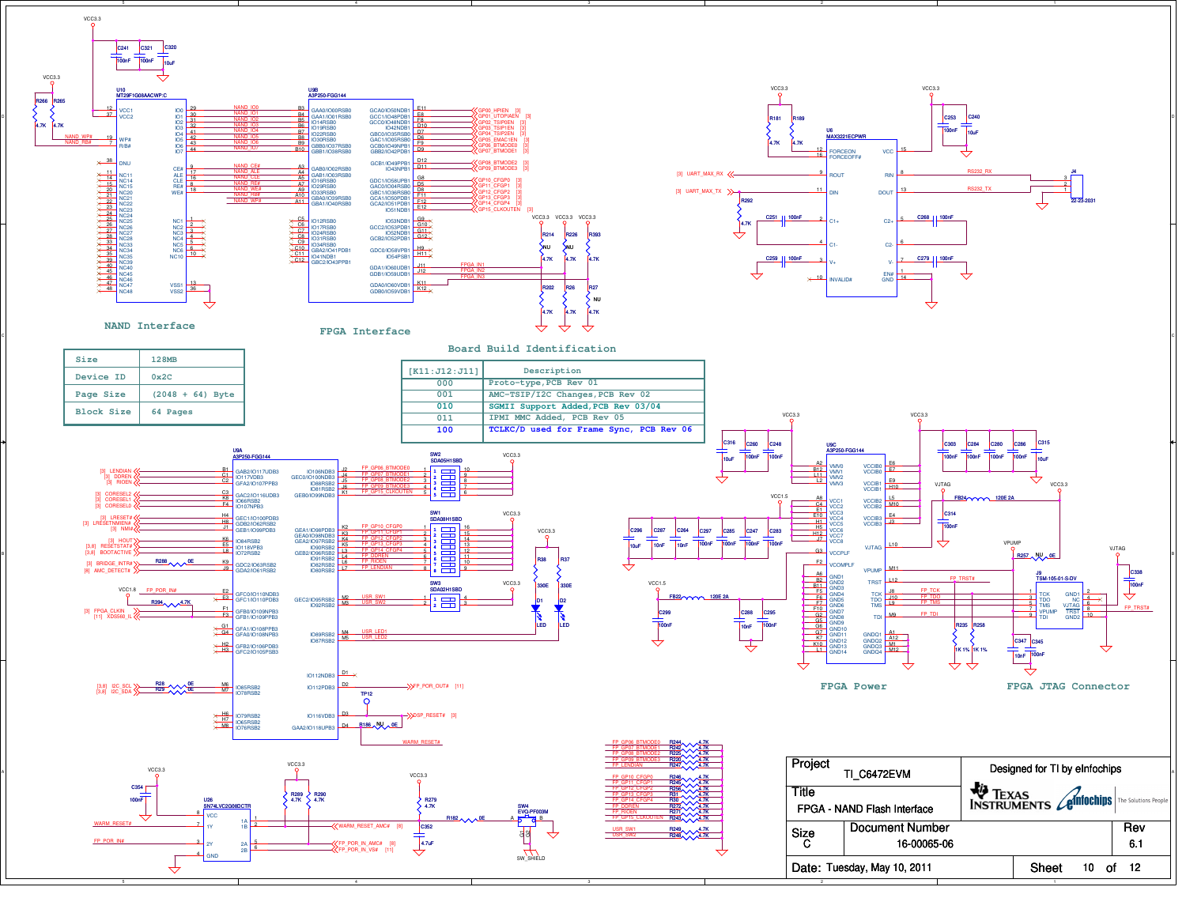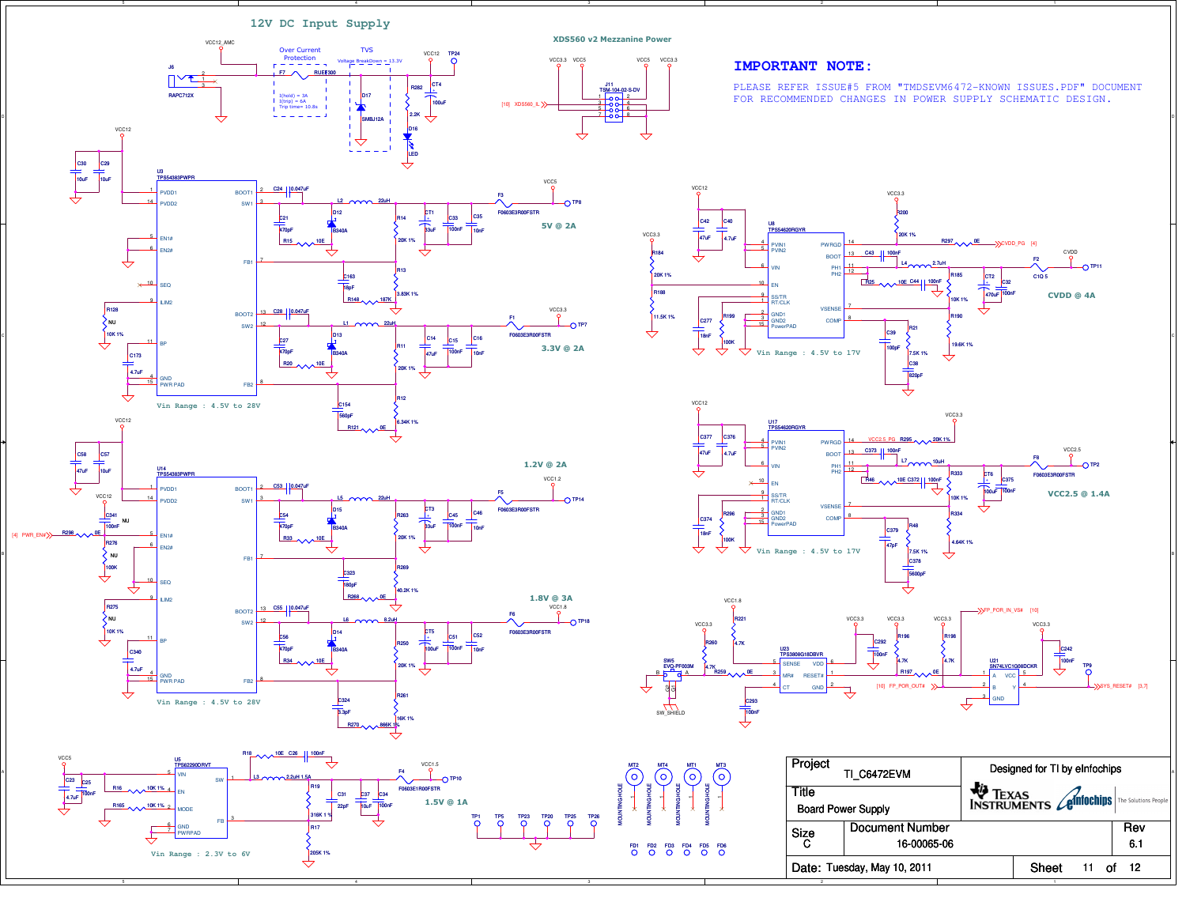